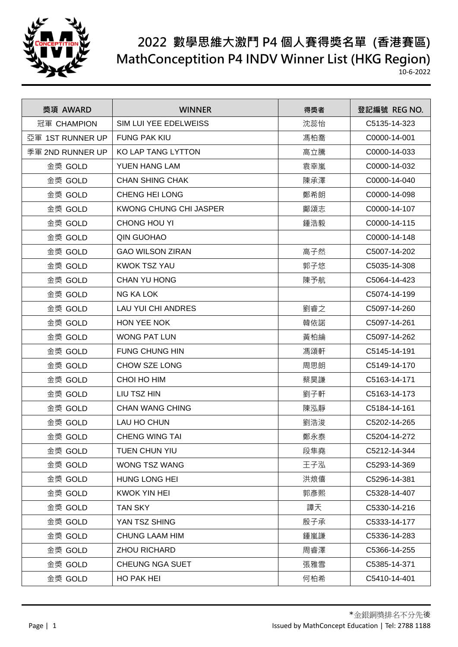

| 獎項 AWARD         | <b>WINNER</b>             | 得獎者 | 登記編號 REG NO. |
|------------------|---------------------------|-----|--------------|
| 冠軍 CHAMPION      | SIM LUI YEE EDELWEISS     | 沈蕊怡 | C5135-14-323 |
| 亞軍 1ST RUNNER UP | <b>FUNG PAK KIU</b>       | 馮柏喬 | C0000-14-001 |
| 季軍 2ND RUNNER UP | KO LAP TANG LYTTON        | 高立騰 | C0000-14-033 |
| 金獎 GOLD          | <b>YUEN HANG LAM</b>      | 袁幸嵐 | C0000-14-032 |
| 金獎 GOLD          | <b>CHAN SHING CHAK</b>    | 陳承澤 | C0000-14-040 |
| 金獎 GOLD          | <b>CHENG HEI LONG</b>     | 鄭希朗 | C0000-14-098 |
| 金獎 GOLD          | KWONG CHUNG CHI JASPER    | 鄺頌志 | C0000-14-107 |
| 金獎 GOLD          | <b>CHONG HOU YI</b>       | 鍾浩毅 | C0000-14-115 |
| 金獎 GOLD          | <b>QIN GUOHAO</b>         |     | C0000-14-148 |
| 金獎 GOLD          | <b>GAO WILSON ZIRAN</b>   | 高子然 | C5007-14-202 |
| 金獎 GOLD          | <b>KWOK TSZ YAU</b>       | 郭子悠 | C5035-14-308 |
| 金獎 GOLD          | <b>CHAN YU HONG</b>       | 陳予航 | C5064-14-423 |
| 金獎 GOLD          | <b>NG KA LOK</b>          |     | C5074-14-199 |
| 金獎 GOLD          | <b>LAU YUI CHI ANDRES</b> | 劉睿之 | C5097-14-260 |
| 金獎 GOLD          | HON YEE NOK               | 韓依諾 | C5097-14-261 |
| 金獎 GOLD          | <b>WONG PAT LUN</b>       | 黃柏綸 | C5097-14-262 |
| 金獎 GOLD          | <b>FUNG CHUNG HIN</b>     | 馮頌軒 | C5145-14-191 |
| 金獎 GOLD          | <b>CHOW SZE LONG</b>      | 周思朗 | C5149-14-170 |
| 金獎 GOLD          | CHOI HO HIM               | 蔡昊謙 | C5163-14-171 |
| 金獎 GOLD          | LIU TSZ HIN               | 劉子軒 | C5163-14-173 |
| 金獎 GOLD          | <b>CHAN WANG CHING</b>    | 陳泓靜 | C5184-14-161 |
| 金獎 GOLD          | LAU HO CHUN               | 劉浩浚 | C5202-14-265 |
| 金獎 GOLD          | <b>CHENG WING TAI</b>     | 鄭永泰 | C5204-14-272 |
| 金獎 GOLD          | TUEN CHUN YIU             | 段隼堯 | C5212-14-344 |
| 金獎 GOLD          | WONG TSZ WANG             | 王子泓 | C5293-14-369 |
| 金獎 GOLD          | HUNG LONG HEI             | 洪烺僖 | C5296-14-381 |
| 金獎 GOLD          | <b>KWOK YIN HEI</b>       | 郭彥熙 | C5328-14-407 |
| 金獎 GOLD          | <b>TAN SKY</b>            | 譚天  | C5330-14-216 |
| 金獎 GOLD          | YAN TSZ SHING             | 殷子承 | C5333-14-177 |
| 金獎 GOLD          | <b>CHUNG LAAM HIM</b>     | 鍾嵐謙 | C5336-14-283 |
| 金獎 GOLD          | <b>ZHOU RICHARD</b>       | 周睿澤 | C5366-14-255 |
| 金獎 GOLD          | CHEUNG NGA SUET           | 張雅雪 | C5385-14-371 |
| 金獎 GOLD          | <b>HO PAK HEI</b>         | 何柏希 | C5410-14-401 |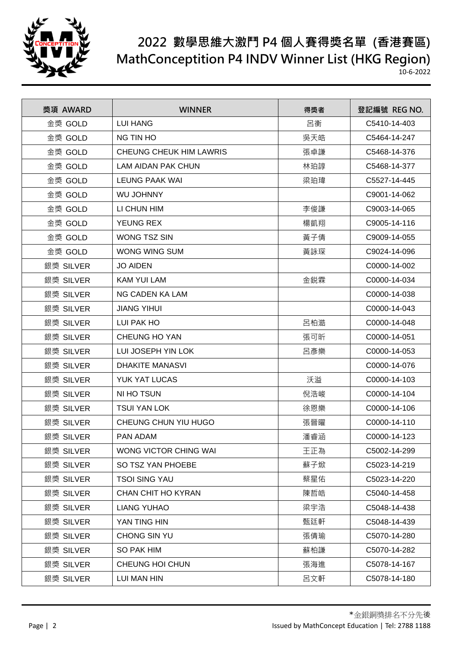

| 獎項 AWARD  | <b>WINNER</b>                  | 得獎者 | 登記編號 REG NO. |
|-----------|--------------------------------|-----|--------------|
| 金獎 GOLD   | <b>LUI HANG</b>                | 呂衡  | C5410-14-403 |
| 金獎 GOLD   | <b>NG TIN HO</b>               | 吳天皓 | C5464-14-247 |
| 金獎 GOLD   | <b>CHEUNG CHEUK HIM LAWRIS</b> | 張卓謙 | C5468-14-376 |
| 金獎 GOLD   | <b>LAM AIDAN PAK CHUN</b>      | 林珀諄 | C5468-14-377 |
| 金獎 GOLD   | LEUNG PAAK WAI                 | 梁珀瑋 | C5527-14-445 |
| 金獎 GOLD   | <b>WU JOHNNY</b>               |     | C9001-14-062 |
| 金獎 GOLD   | LI CHUN HIM                    | 李俊謙 | C9003-14-065 |
| 金獎 GOLD   | <b>YEUNG REX</b>               | 楊凱翔 | C9005-14-116 |
| 金獎 GOLD   | <b>WONG TSZ SIN</b>            | 黃子倩 | C9009-14-055 |
| 金獎 GOLD   | <b>WONG WING SUM</b>           | 黃詠琛 | C9024-14-096 |
| 銀獎 SILVER | <b>JO AIDEN</b>                |     | C0000-14-002 |
| 銀獎 SILVER | <b>KAM YUI LAM</b>             | 金鋭霖 | C0000-14-034 |
| 銀獎 SILVER | NG CADEN KA LAM                |     | C0000-14-038 |
| 銀獎 SILVER | <b>JIANG YIHUI</b>             |     | C0000-14-043 |
| 銀獎 SILVER | LUI PAK HO                     | 呂柏澔 | C0000-14-048 |
| 銀獎 SILVER | <b>CHEUNG HO YAN</b>           | 張可昕 | C0000-14-051 |
| 銀獎 SILVER | LUI JOSEPH YIN LOK             | 呂彥樂 | C0000-14-053 |
| 銀獎 SILVER | <b>DHAKITE MANASVI</b>         |     | C0000-14-076 |
| 銀獎 SILVER | YUK YAT LUCAS                  | 沃溢  | C0000-14-103 |
| 銀獎 SILVER | NI HO TSUN                     | 倪浩峻 | C0000-14-104 |
| 銀獎 SILVER | <b>TSUI YAN LOK</b>            | 徐恩樂 | C0000-14-106 |
| 銀獎 SILVER | CHEUNG CHUN YIU HUGO           | 張晉曜 | C0000-14-110 |
| 銀獎 SILVER | PAN ADAM                       | 潘睿涵 | C0000-14-123 |
| 銀獎 SILVER | WONG VICTOR CHING WAI          | 王正為 | C5002-14-299 |
| 銀獎 SILVER | SO TSZ YAN PHOEBE              | 蘇子焮 | C5023-14-219 |
| 銀獎 SILVER | <b>TSOI SING YAU</b>           | 蔡星佑 | C5023-14-220 |
| 銀獎 SILVER | CHAN CHIT HO KYRAN             | 陳哲皓 | C5040-14-458 |
| 銀獎 SILVER | <b>LIANG YUHAO</b>             | 梁宇浩 | C5048-14-438 |
| 銀獎 SILVER | YAN TING HIN                   | 甄廷軒 | C5048-14-439 |
| 銀獎 SILVER | CHONG SIN YU                   | 張倩瑜 | C5070-14-280 |
| 銀獎 SILVER | SO PAK HIM                     | 蘇柏謙 | C5070-14-282 |
| 銀獎 SILVER | CHEUNG HOI CHUN                | 張海進 | C5078-14-167 |
| 銀獎 SILVER | LUI MAN HIN                    | 呂文軒 | C5078-14-180 |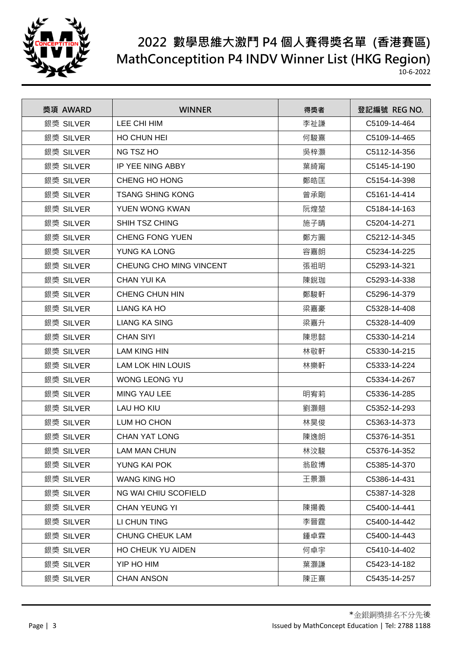

| 獎項 AWARD  | <b>WINNER</b>            | 得獎者 | 登記編號 REG NO. |
|-----------|--------------------------|-----|--------------|
| 銀獎 SILVER | LEE CHI HIM              | 李祉謙 | C5109-14-464 |
| 銀獎 SILVER | HO CHUN HEI              | 何駿熹 | C5109-14-465 |
| 銀獎 SILVER | NG TSZ HO                | 吳梓灝 | C5112-14-356 |
| 銀獎 SILVER | IP YEE NING ABBY         | 葉綺甯 | C5145-14-190 |
| 銀獎 SILVER | CHENG HO HONG            | 鄭皓匡 | C5154-14-398 |
| 銀獎 SILVER | <b>TSANG SHING KONG</b>  | 曾承剛 | C5161-14-414 |
| 銀獎 SILVER | YUEN WONG KWAN           | 阮煌堃 | C5184-14-163 |
| 銀獎 SILVER | SHIH TSZ CHING           | 施子晴 | C5204-14-271 |
| 銀獎 SILVER | <b>CHENG FONG YUEN</b>   | 鄭方圓 | C5212-14-345 |
| 銀獎 SILVER | YUNG KA LONG             | 容嘉朗 | C5234-14-225 |
| 銀獎 SILVER | CHEUNG CHO MING VINCENT  | 張祖明 | C5293-14-321 |
| 銀獎 SILVER | <b>CHAN YUI KA</b>       | 陳銳珈 | C5293-14-338 |
| 銀獎 SILVER | CHENG CHUN HIN           | 鄭駿軒 | C5296-14-379 |
| 銀獎 SILVER | <b>LIANG KA HO</b>       | 梁嘉豪 | C5328-14-408 |
| 銀獎 SILVER | <b>LIANG KA SING</b>     | 梁嘉升 | C5328-14-409 |
| 銀獎 SILVER | <b>CHAN SIYI</b>         | 陳思懿 | C5330-14-214 |
| 銀獎 SILVER | <b>LAM KING HIN</b>      | 林敬軒 | C5330-14-215 |
| 銀獎 SILVER | <b>LAM LOK HIN LOUIS</b> | 林樂軒 | C5333-14-224 |
| 銀獎 SILVER | <b>WONG LEONG YU</b>     |     | C5334-14-267 |
| 銀獎 SILVER | MING YAU LEE             | 明宥莉 | C5336-14-285 |
| 銀獎 SILVER | <b>LAU HO KIU</b>        | 劉灝翹 | C5352-14-293 |
| 銀獎 SILVER | LUM HO CHON              | 林昊俊 | C5363-14-373 |
| 銀獎 SILVER | <b>CHAN YAT LONG</b>     | 陳逸朗 | C5376-14-351 |
| 銀獎 SILVER | <b>LAM MAN CHUN</b>      | 林汶駿 | C5376-14-352 |
| 銀獎 SILVER | YUNG KAI POK             | 翁啟博 | C5385-14-370 |
| 銀獎 SILVER | <b>WANG KING HO</b>      | 王景灝 | C5386-14-431 |
| 銀獎 SILVER | NG WAI CHIU SCOFIELD     |     | C5387-14-328 |
| 銀獎 SILVER | <b>CHAN YEUNG YI</b>     | 陳揚義 | C5400-14-441 |
| 銀獎 SILVER | LI CHUN TING             | 李晉霆 | C5400-14-442 |
| 銀獎 SILVER | <b>CHUNG CHEUK LAM</b>   | 鍾卓霖 | C5400-14-443 |
| 銀獎 SILVER | HO CHEUK YU AIDEN        | 何卓宇 | C5410-14-402 |
| 銀獎 SILVER | YIP HO HIM               | 葉灝謙 | C5423-14-182 |
| 銀獎 SILVER | <b>CHAN ANSON</b>        | 陳正熹 | C5435-14-257 |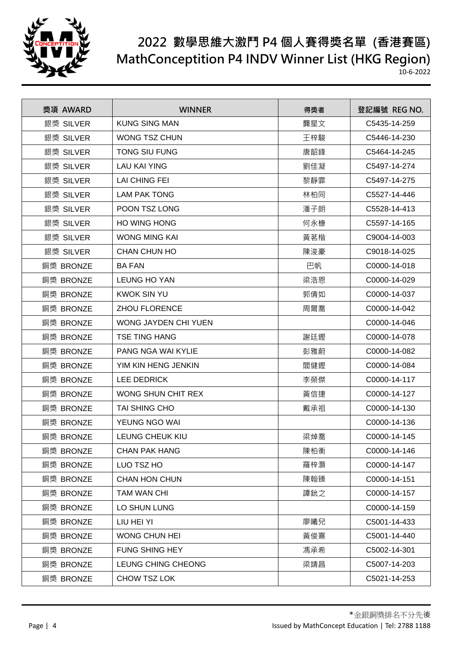

| 獎項 AWARD  | <b>WINNER</b>             | 得獎者 | 登記編號 REG NO. |
|-----------|---------------------------|-----|--------------|
| 銀獎 SILVER | <b>KUNG SING MAN</b>      | 龔星文 | C5435-14-259 |
| 銀獎 SILVER | <b>WONG TSZ CHUN</b>      | 王梓駿 | C5446-14-230 |
| 銀獎 SILVER | <b>TONG SIU FUNG</b>      | 唐韶鋒 | C5464-14-245 |
| 銀獎 SILVER | <b>LAU KAI YING</b>       | 劉佳凝 | C5497-14-274 |
| 銀獎 SILVER | LAI CHING FEI             | 黎靜霏 | C5497-14-275 |
| 銀獎 SILVER | <b>LAM PAK TONG</b>       | 林柏同 | C5527-14-446 |
| 銀獎 SILVER | POON TSZ LONG             | 潘子朗 | C5528-14-413 |
| 銀獎 SILVER | <b>HO WING HONG</b>       | 何永槺 | C5597-14-165 |
| 銀獎 SILVER | <b>WONG MING KAI</b>      | 黃茗楷 | C9004-14-003 |
| 銀獎 SILVER | <b>CHAN CHUN HO</b>       | 陳浚豪 | C9018-14-025 |
| 銅獎 BRONZE | <b>BA FAN</b>             | 巴帆  | C0000-14-018 |
| 銅獎 BRONZE | <b>LEUNG HO YAN</b>       | 梁浩恩 | C0000-14-029 |
| 銅獎 BRONZE | <b>KWOK SIN YU</b>        | 郭倩如 | C0000-14-037 |
| 銅獎 BRONZE | <b>ZHOU FLORENCE</b>      | 周爾喬 | C0000-14-042 |
| 銅獎 BRONZE | WONG JAYDEN CHI YUEN      |     | C0000-14-046 |
| 銅獎 BRONZE | <b>TSE TING HANG</b>      | 謝廷鏗 | C0000-14-078 |
| 銅獎 BRONZE | <b>PANG NGA WAI KYLIE</b> | 彭雅蔚 | C0000-14-082 |
| 銅獎 BRONZE | YIM KIN HENG JENKIN       | 閻健鏗 | C0000-14-084 |
| 銅獎 BRONZE | <b>LEE DEDRICK</b>        | 李榮傑 | C0000-14-117 |
| 銅獎 BRONZE | WONG SHUN CHIT REX        | 黃信捷 | C0000-14-127 |
| 銅獎 BRONZE | TAI SHING CHO             | 戴承祖 | C0000-14-130 |
| 銅獎 BRONZE | YEUNG NGO WAI             |     | C0000-14-136 |
| 銅獎 BRONZE | LEUNG CHEUK KIU           | 梁焯喬 | C0000-14-145 |
| 銅獎 BRONZE | <b>CHAN PAK HANG</b>      | 陳柏衡 | C0000-14-146 |
| 銅獎 BRONZE | LUO TSZ HO                | 羅梓灝 | C0000-14-147 |
| 銅獎 BRONZE | <b>CHAN HON CHUN</b>      | 陳翰臻 | C0000-14-151 |
| 銅獎 BRONZE | TAM WAN CHI               | 譚鈗之 | C0000-14-157 |
| 銅獎 BRONZE | LO SHUN LUNG              |     | C0000-14-159 |
| 銅獎 BRONZE | LIU HEI YI                | 廖曦兒 | C5001-14-433 |
| 銅獎 BRONZE | <b>WONG CHUN HEI</b>      | 黃俊熹 | C5001-14-440 |
| 銅獎 BRONZE | <b>FUNG SHING HEY</b>     | 馮承希 | C5002-14-301 |
| 銅獎 BRONZE | LEUNG CHING CHEONG        | 梁靖昌 | C5007-14-203 |
| 銅獎 BRONZE | CHOW TSZ LOK              |     | C5021-14-253 |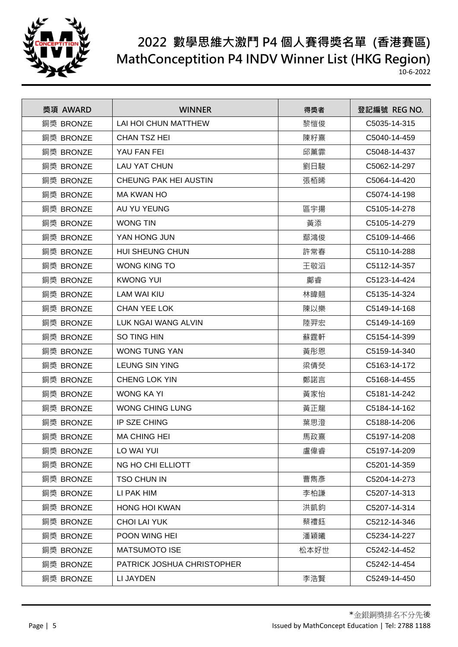

| 獎項 AWARD  | <b>WINNER</b>              | 得獎者  | 登記編號 REG NO. |
|-----------|----------------------------|------|--------------|
| 銅獎 BRONZE | LAI HOI CHUN MATTHEW       | 黎愷俊  | C5035-14-315 |
| 銅獎 BRONZE | <b>CHAN TSZ HEI</b>        | 陳籽熹  | C5040-14-459 |
| 銅獎 BRONZE | YAU FAN FEI                | 邱薰霏  | C5048-14-437 |
| 銅獎 BRONZE | <b>LAU YAT CHUN</b>        | 劉日駿  | C5062-14-297 |
| 銅獎 BRONZE | CHEUNG PAK HEI AUSTIN      | 張栢晞  | C5064-14-420 |
| 銅獎 BRONZE | <b>MA KWAN HO</b>          |      | C5074-14-198 |
| 銅獎 BRONZE | AU YU YEUNG                | 區宇揚  | C5105-14-278 |
| 銅獎 BRONZE | <b>WONG TIN</b>            | 黃添   | C5105-14-279 |
| 銅獎 BRONZE | YAN HONG JUN               | 鄢鴻俊  | C5109-14-466 |
| 銅獎 BRONZE | HUI SHEUNG CHUN            | 許常春  | C5110-14-288 |
| 銅獎 BRONZE | <b>WONG KING TO</b>        | 王敬滔  | C5112-14-357 |
| 銅獎 BRONZE | <b>KWONG YUI</b>           | 鄺睿   | C5123-14-424 |
| 銅獎 BRONZE | <b>LAM WAI KIU</b>         | 林暐翹  | C5135-14-324 |
| 銅獎 BRONZE | <b>CHAN YEE LOK</b>        | 陳以樂  | C5149-14-168 |
| 銅獎 BRONZE | LUK NGAI WANG ALVIN        | 陸羿宏  | C5149-14-169 |
| 銅獎 BRONZE | SO TING HIN                | 蘇霆軒  | C5154-14-399 |
| 銅獎 BRONZE | <b>WONG TUNG YAN</b>       | 黃彤恩  | C5159-14-340 |
| 銅獎 BRONZE | <b>LEUNG SIN YING</b>      | 梁倩熒  | C5163-14-172 |
| 銅獎 BRONZE | CHENG LOK YIN              | 鄭諾言  | C5168-14-455 |
| 銅獎 BRONZE | <b>WONG KA YI</b>          | 黃家怡  | C5181-14-242 |
| 銅獎 BRONZE | <b>WONG CHING LUNG</b>     | 黃正龍  | C5184-14-162 |
| 銅獎 BRONZE | <b>IP SZE CHING</b>        | 葉思澄  | C5188-14-206 |
| 銅獎 BRONZE | <b>MA CHING HEI</b>        | 馬政熹  | C5197-14-208 |
| 銅獎 BRONZE | LO WAI YUI                 | 盧偉睿  | C5197-14-209 |
| 銅獎 BRONZE | NG HO CHI ELLIOTT          |      | C5201-14-359 |
| 銅獎 BRONZE | TSO CHUN IN                | 曹雋彥  | C5204-14-273 |
| 銅獎 BRONZE | LI PAK HIM                 | 李柏謙  | C5207-14-313 |
| 銅獎 BRONZE | <b>HONG HOI KWAN</b>       | 洪凱鈞  | C5207-14-314 |
| 銅獎 BRONZE | <b>CHOI LAI YUK</b>        | 蔡禮鈺  | C5212-14-346 |
| 銅獎 BRONZE | <b>POON WING HEI</b>       | 潘穎曦  | C5234-14-227 |
| 銅獎 BRONZE | <b>MATSUMOTO ISE</b>       | 松本好世 | C5242-14-452 |
| 銅獎 BRONZE | PATRICK JOSHUA CHRISTOPHER |      | C5242-14-454 |
| 銅獎 BRONZE | LI JAYDEN                  | 李浩賢  | C5249-14-450 |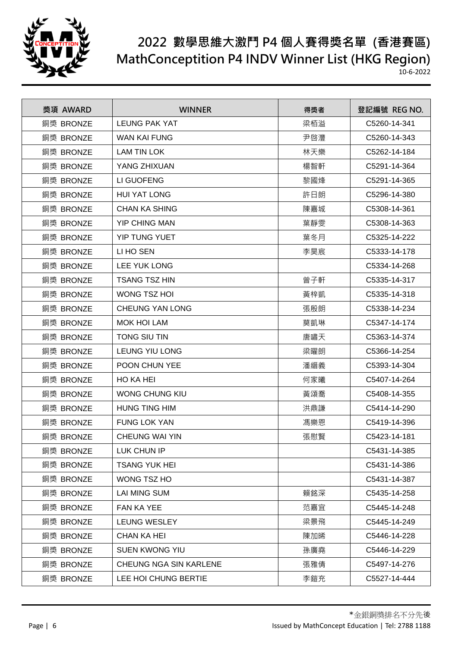

| 獎項 AWARD  | <b>WINNER</b>          | 得獎者 | 登記編號 REG NO. |
|-----------|------------------------|-----|--------------|
| 銅獎 BRONZE | <b>LEUNG PAK YAT</b>   | 梁栢溢 | C5260-14-341 |
| 銅獎 BRONZE | <b>WAN KAI FUNG</b>    | 尹啓灃 | C5260-14-343 |
| 銅獎 BRONZE | <b>LAM TIN LOK</b>     | 林天樂 | C5262-14-184 |
| 銅獎 BRONZE | YANG ZHIXUAN           | 楊智軒 | C5291-14-364 |
| 銅獎 BRONZE | LI GUOFENG             | 黎國烽 | C5291-14-365 |
| 銅獎 BRONZE | <b>HUI YAT LONG</b>    | 許日朗 | C5296-14-380 |
| 銅獎 BRONZE | <b>CHAN KA SHING</b>   | 陳嘉城 | C5308-14-361 |
| 銅獎 BRONZE | <b>YIP CHING MAN</b>   | 葉靜雯 | C5308-14-363 |
| 銅獎 BRONZE | YIP TUNG YUET          | 葉冬月 | C5325-14-222 |
| 銅獎 BRONZE | LI HO SEN              | 李昊宸 | C5333-14-178 |
| 銅獎 BRONZE | <b>LEE YUK LONG</b>    |     | C5334-14-268 |
| 銅獎 BRONZE | <b>TSANG TSZ HIN</b>   | 曾子軒 | C5335-14-317 |
| 銅獎 BRONZE | <b>WONG TSZ HOI</b>    | 黃梓凱 | C5335-14-318 |
| 銅獎 BRONZE | <b>CHEUNG YAN LONG</b> | 張殷朗 | C5338-14-234 |
| 銅獎 BRONZE | <b>MOK HOI LAM</b>     | 莫凱琳 | C5347-14-174 |
| 銅獎 BRONZE | TONG SIU TIN           | 唐嘯天 | C5363-14-374 |
| 銅獎 BRONZE | LEUNG YIU LONG         | 梁曜朗 | C5366-14-254 |
| 銅獎 BRONZE | POON CHUN YEE          | 潘縉義 | C5393-14-304 |
| 銅獎 BRONZE | HO KA HEI              | 何家曦 | C5407-14-264 |
| 銅獎 BRONZE | <b>WONG CHUNG KIU</b>  | 黃頌喬 | C5408-14-355 |
| 銅獎 BRONZE | <b>HUNG TING HIM</b>   | 洪鼎謙 | C5414-14-290 |
| 銅獎 BRONZE | <b>FUNG LOK YAN</b>    | 馮樂恩 | C5419-14-396 |
| 銅獎 BRONZE | CHEUNG WAI YIN         | 張慰賢 | C5423-14-181 |
| 銅獎 BRONZE | LUK CHUN IP            |     | C5431-14-385 |
| 銅獎 BRONZE | <b>TSANG YUK HEI</b>   |     | C5431-14-386 |
| 銅獎 BRONZE | WONG TSZ HO            |     | C5431-14-387 |
| 銅獎 BRONZE | <b>LAI MING SUM</b>    | 賴銘深 | C5435-14-258 |
| 銅獎 BRONZE | <b>FAN KA YEE</b>      | 范嘉宜 | C5445-14-248 |
| 銅獎 BRONZE | LEUNG WESLEY           | 梁景飛 | C5445-14-249 |
| 銅獎 BRONZE | <b>CHAN KA HEI</b>     | 陳加晞 | C5446-14-228 |
| 銅獎 BRONZE | SUEN KWONG YIU         | 孫廣堯 | C5446-14-229 |
| 銅獎 BRONZE | CHEUNG NGA SIN KARLENE | 張雅倩 | C5497-14-276 |
| 銅獎 BRONZE | LEE HOI CHUNG BERTIE   | 李鎧充 | C5527-14-444 |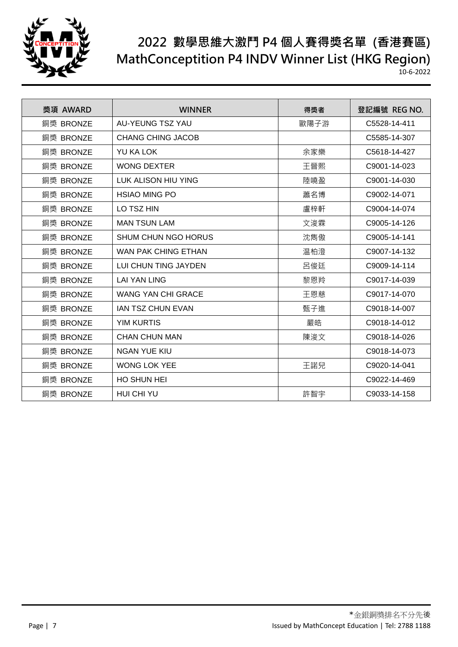

| 獎項 AWARD  | <b>WINNER</b>             | 得獎者  | 登記編號 REG NO. |
|-----------|---------------------------|------|--------------|
| 銅獎 BRONZE | AU-YEUNG TSZ YAU          | 歐陽子游 | C5528-14-411 |
| 銅獎 BRONZE | <b>CHANG CHING JACOB</b>  |      | C5585-14-307 |
| 銅獎 BRONZE | YU KA LOK                 | 余家樂  | C5618-14-427 |
| 銅獎 BRONZE | <b>WONG DEXTER</b>        | 王晉熙  | C9001-14-023 |
| 銅獎 BRONZE | LUK ALISON HIU YING       | 陸曉盈  | C9001-14-030 |
| 銅獎 BRONZE | <b>HSIAO MING PO</b>      | 蕭名博  | C9002-14-071 |
| 銅獎 BRONZE | LO TSZ HIN                | 盧梓軒  | C9004-14-074 |
| 銅獎 BRONZE | <b>MAN TSUN LAM</b>       | 文浚霖  | C9005-14-126 |
| 銅獎 BRONZE | SHUM CHUN NGO HORUS       | 沈雋傲  | C9005-14-141 |
| 銅獎 BRONZE | WAN PAK CHING ETHAN       | 温柏澄  | C9007-14-132 |
| 銅獎 BRONZE | LUI CHUN TING JAYDEN      | 呂俊廷  | C9009-14-114 |
| 銅獎 BRONZE | <b>LAI YAN LING</b>       | 黎恩羚  | C9017-14-039 |
| 銅獎 BRONZE | <b>WANG YAN CHI GRACE</b> | 王恩慈  | C9017-14-070 |
| 銅獎 BRONZE | <b>IAN TSZ CHUN EVAN</b>  | 甄子進  | C9018-14-007 |
| 銅獎 BRONZE | <b>YIM KURTIS</b>         | 嚴皓   | C9018-14-012 |
| 銅獎 BRONZE | <b>CHAN CHUN MAN</b>      | 陳浚文  | C9018-14-026 |
| 銅獎 BRONZE | <b>NGAN YUE KIU</b>       |      | C9018-14-073 |
| 銅獎 BRONZE | <b>WONG LOK YEE</b>       | 王諾兒  | C9020-14-041 |
| 銅獎 BRONZE | <b>HO SHUN HEI</b>        |      | C9022-14-469 |
| 銅獎 BRONZE | HUI CHI YU                | 許智宇  | C9033-14-158 |